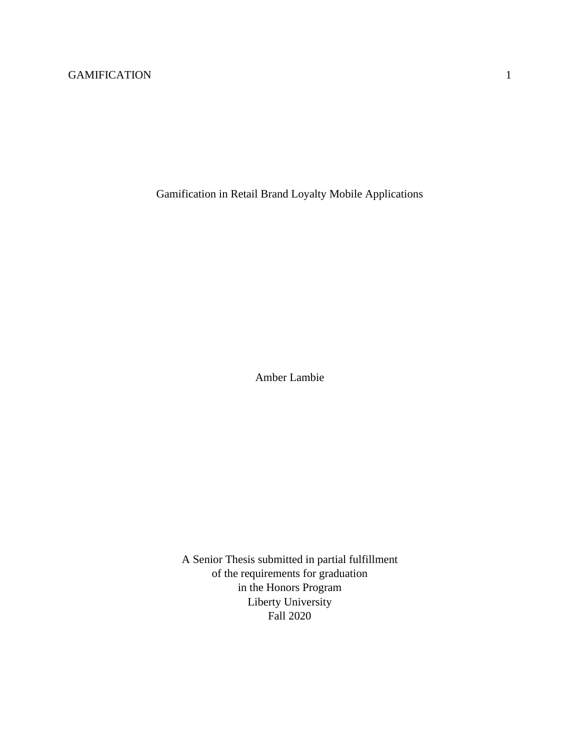Gamification in Retail Brand Loyalty Mobile Applications

Amber Lambie

A Senior Thesis submitted in partial fulfillment of the requirements for graduation in the Honors Program Liberty University Fall 2020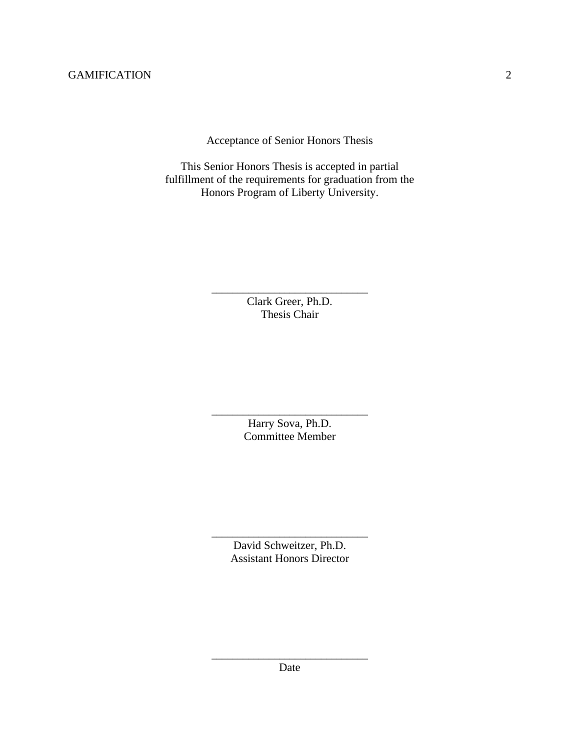Acceptance of Senior Honors Thesis

This Senior Honors Thesis is accepted in partial fulfillment of the requirements for graduation from the Honors Program of Liberty University.

> \_\_\_\_\_\_\_\_\_\_\_\_\_\_\_\_\_\_\_\_\_\_\_\_\_\_\_\_\_\_ Clark Greer, Ph.D. Thesis Chair

> \_\_\_\_\_\_\_\_\_\_\_\_\_\_\_\_\_\_\_\_\_\_\_\_\_\_\_\_\_\_ Harry Sova, Ph.D. Committee Member

> > David Schweitzer, Ph.D. Assistant Honors Director

\_\_\_\_\_\_\_\_\_\_\_\_\_\_\_\_\_\_\_\_\_\_\_\_\_\_\_\_\_\_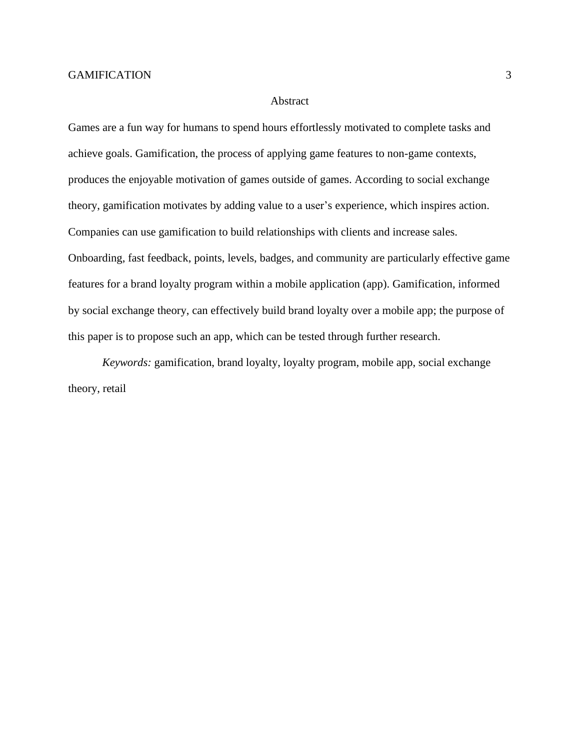#### Abstract

Games are a fun way for humans to spend hours effortlessly motivated to complete tasks and achieve goals. Gamification, the process of applying game features to non-game contexts, produces the enjoyable motivation of games outside of games. According to social exchange theory, gamification motivates by adding value to a user's experience, which inspires action. Companies can use gamification to build relationships with clients and increase sales. Onboarding, fast feedback, points, levels, badges, and community are particularly effective game features for a brand loyalty program within a mobile application (app). Gamification, informed by social exchange theory, can effectively build brand loyalty over a mobile app; the purpose of this paper is to propose such an app, which can be tested through further research.

*Keywords:* gamification, brand loyalty, loyalty program, mobile app, social exchange theory, retail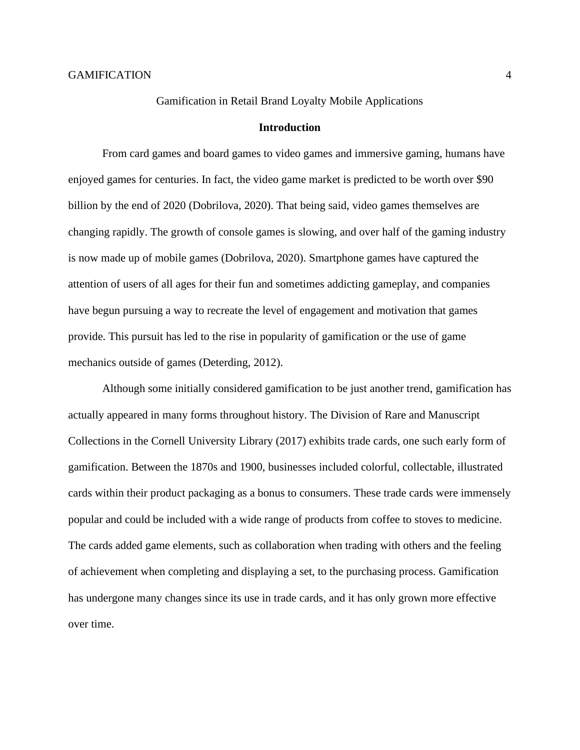#### Gamification in Retail Brand Loyalty Mobile Applications

#### **Introduction**

From card games and board games to video games and immersive gaming, humans have enjoyed games for centuries. In fact, the video game market is predicted to be worth over \$90 billion by the end of 2020 (Dobrilova, 2020). That being said, video games themselves are changing rapidly. The growth of console games is slowing, and over half of the gaming industry is now made up of mobile games (Dobrilova, 2020). Smartphone games have captured the attention of users of all ages for their fun and sometimes addicting gameplay, and companies have begun pursuing a way to recreate the level of engagement and motivation that games provide. This pursuit has led to the rise in popularity of gamification or the use of game mechanics outside of games (Deterding, 2012).

Although some initially considered gamification to be just another trend, gamification has actually appeared in many forms throughout history. The Division of Rare and Manuscript Collections in the Cornell University Library (2017) exhibits trade cards, one such early form of gamification. Between the 1870s and 1900, businesses included colorful, collectable, illustrated cards within their product packaging as a bonus to consumers. These trade cards were immensely popular and could be included with a wide range of products from coffee to stoves to medicine. The cards added game elements, such as collaboration when trading with others and the feeling of achievement when completing and displaying a set, to the purchasing process. Gamification has undergone many changes since its use in trade cards, and it has only grown more effective over time.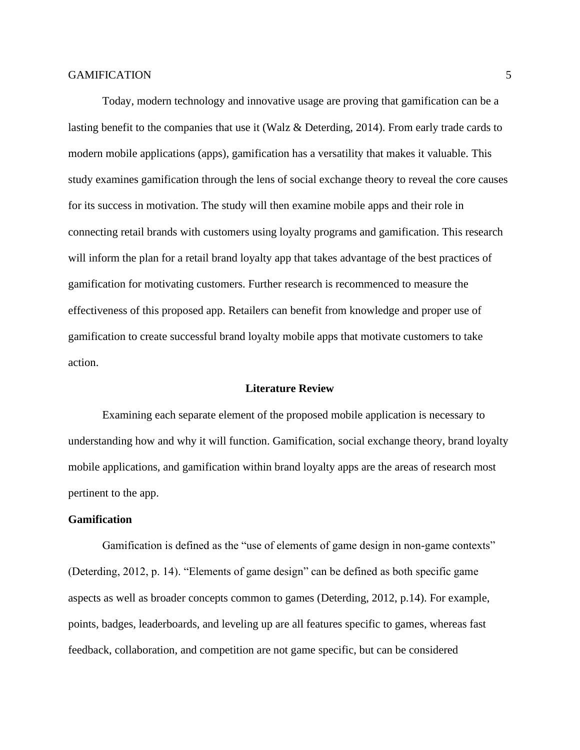Today, modern technology and innovative usage are proving that gamification can be a lasting benefit to the companies that use it (Walz & Deterding, 2014). From early trade cards to modern mobile applications (apps), gamification has a versatility that makes it valuable. This study examines gamification through the lens of social exchange theory to reveal the core causes for its success in motivation. The study will then examine mobile apps and their role in connecting retail brands with customers using loyalty programs and gamification. This research will inform the plan for a retail brand loyalty app that takes advantage of the best practices of gamification for motivating customers. Further research is recommenced to measure the effectiveness of this proposed app. Retailers can benefit from knowledge and proper use of gamification to create successful brand loyalty mobile apps that motivate customers to take action.

#### **Literature Review**

Examining each separate element of the proposed mobile application is necessary to understanding how and why it will function. Gamification, social exchange theory, brand loyalty mobile applications, and gamification within brand loyalty apps are the areas of research most pertinent to the app.

# **Gamification**

Gamification is defined as the "use of elements of game design in non-game contexts" (Deterding, 2012, p. 14). "Elements of game design" can be defined as both specific game aspects as well as broader concepts common to games (Deterding, 2012, p.14). For example, points, badges, leaderboards, and leveling up are all features specific to games, whereas fast feedback, collaboration, and competition are not game specific, but can be considered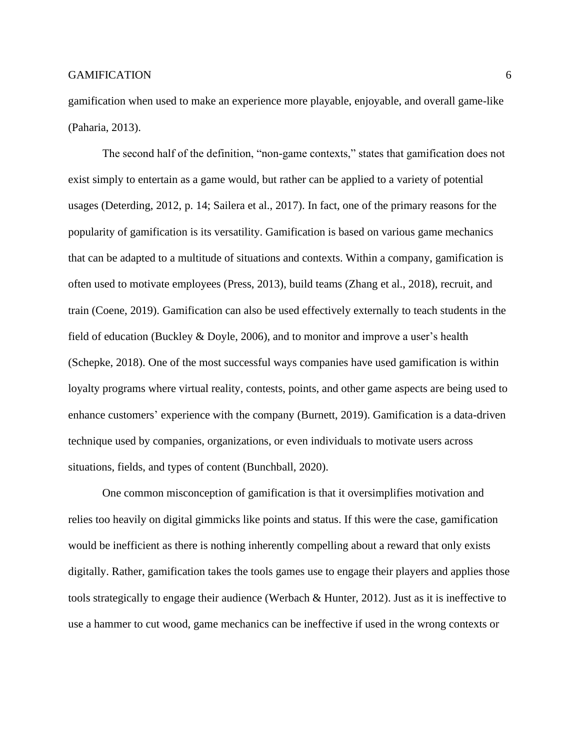gamification when used to make an experience more playable, enjoyable, and overall game-like (Paharia, 2013).

The second half of the definition, "non-game contexts," states that gamification does not exist simply to entertain as a game would, but rather can be applied to a variety of potential usages (Deterding, 2012, p. 14; Sailera et al., 2017). In fact, one of the primary reasons for the popularity of gamification is its versatility. Gamification is based on various game mechanics that can be adapted to a multitude of situations and contexts. Within a company, gamification is often used to motivate employees (Press, 2013), build teams (Zhang et al., 2018), recruit, and train (Coene, 2019). Gamification can also be used effectively externally to teach students in the field of education (Buckley & Doyle, 2006), and to monitor and improve a user's health (Schepke, 2018). One of the most successful ways companies have used gamification is within loyalty programs where virtual reality, contests, points, and other game aspects are being used to enhance customers' experience with the company (Burnett, 2019). Gamification is a data-driven technique used by companies, organizations, or even individuals to motivate users across situations, fields, and types of content (Bunchball, 2020).

One common misconception of gamification is that it oversimplifies motivation and relies too heavily on digital gimmicks like points and status. If this were the case, gamification would be inefficient as there is nothing inherently compelling about a reward that only exists digitally. Rather, gamification takes the tools games use to engage their players and applies those tools strategically to engage their audience (Werbach & Hunter, 2012). Just as it is ineffective to use a hammer to cut wood, game mechanics can be ineffective if used in the wrong contexts or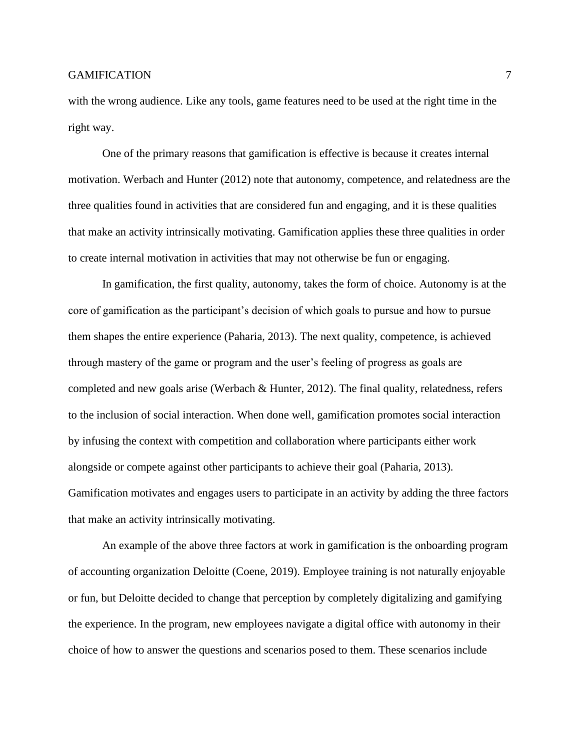with the wrong audience. Like any tools, game features need to be used at the right time in the right way.

One of the primary reasons that gamification is effective is because it creates internal motivation. Werbach and Hunter (2012) note that autonomy, competence, and relatedness are the three qualities found in activities that are considered fun and engaging, and it is these qualities that make an activity intrinsically motivating. Gamification applies these three qualities in order to create internal motivation in activities that may not otherwise be fun or engaging.

In gamification, the first quality, autonomy, takes the form of choice. Autonomy is at the core of gamification as the participant's decision of which goals to pursue and how to pursue them shapes the entire experience (Paharia, 2013). The next quality, competence, is achieved through mastery of the game or program and the user's feeling of progress as goals are completed and new goals arise (Werbach & Hunter, 2012). The final quality, relatedness, refers to the inclusion of social interaction. When done well, gamification promotes social interaction by infusing the context with competition and collaboration where participants either work alongside or compete against other participants to achieve their goal (Paharia, 2013). Gamification motivates and engages users to participate in an activity by adding the three factors that make an activity intrinsically motivating.

An example of the above three factors at work in gamification is the onboarding program of accounting organization Deloitte (Coene, 2019). Employee training is not naturally enjoyable or fun, but Deloitte decided to change that perception by completely digitalizing and gamifying the experience. In the program, new employees navigate a digital office with autonomy in their choice of how to answer the questions and scenarios posed to them. These scenarios include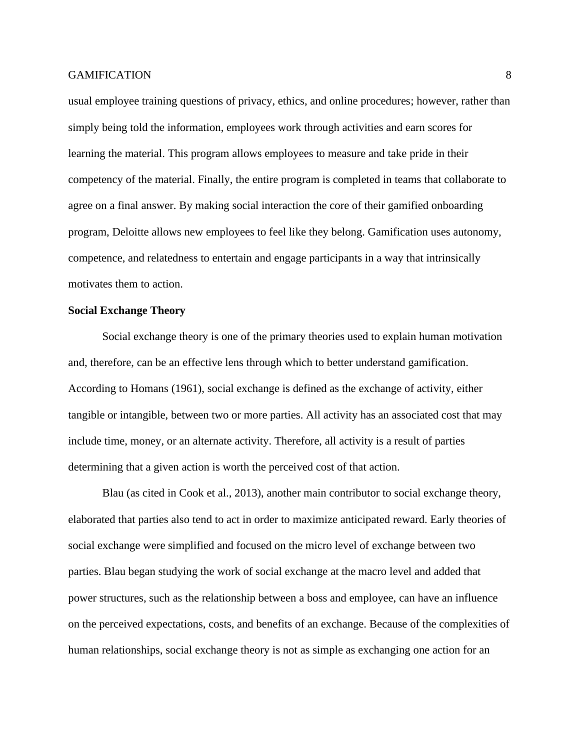usual employee training questions of privacy, ethics, and online procedures; however, rather than simply being told the information, employees work through activities and earn scores for learning the material. This program allows employees to measure and take pride in their competency of the material. Finally, the entire program is completed in teams that collaborate to agree on a final answer. By making social interaction the core of their gamified onboarding program, Deloitte allows new employees to feel like they belong. Gamification uses autonomy, competence, and relatedness to entertain and engage participants in a way that intrinsically motivates them to action.

#### **Social Exchange Theory**

Social exchange theory is one of the primary theories used to explain human motivation and, therefore, can be an effective lens through which to better understand gamification. According to Homans (1961), social exchange is defined as the exchange of activity, either tangible or intangible, between two or more parties. All activity has an associated cost that may include time, money, or an alternate activity. Therefore, all activity is a result of parties determining that a given action is worth the perceived cost of that action.

Blau (as cited in Cook et al., 2013), another main contributor to social exchange theory, elaborated that parties also tend to act in order to maximize anticipated reward. Early theories of social exchange were simplified and focused on the micro level of exchange between two parties. Blau began studying the work of social exchange at the macro level and added that power structures, such as the relationship between a boss and employee, can have an influence on the perceived expectations, costs, and benefits of an exchange. Because of the complexities of human relationships, social exchange theory is not as simple as exchanging one action for an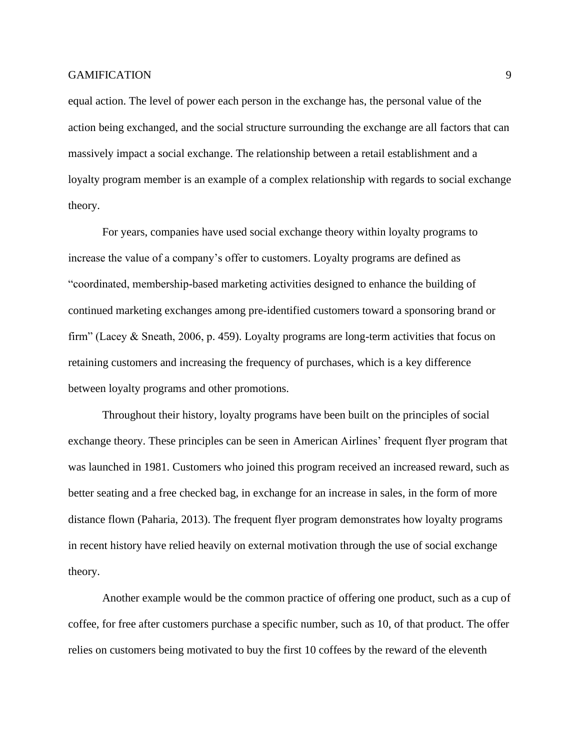equal action. The level of power each person in the exchange has, the personal value of the action being exchanged, and the social structure surrounding the exchange are all factors that can massively impact a social exchange. The relationship between a retail establishment and a loyalty program member is an example of a complex relationship with regards to social exchange theory.

For years, companies have used social exchange theory within loyalty programs to increase the value of a company's offer to customers. Loyalty programs are defined as "coordinated, membership-based marketing activities designed to enhance the building of continued marketing exchanges among pre-identified customers toward a sponsoring brand or firm" (Lacey & Sneath, 2006, p. 459). Loyalty programs are long-term activities that focus on retaining customers and increasing the frequency of purchases, which is a key difference between loyalty programs and other promotions.

Throughout their history, loyalty programs have been built on the principles of social exchange theory. These principles can be seen in American Airlines' frequent flyer program that was launched in 1981. Customers who joined this program received an increased reward, such as better seating and a free checked bag, in exchange for an increase in sales, in the form of more distance flown (Paharia, 2013). The frequent flyer program demonstrates how loyalty programs in recent history have relied heavily on external motivation through the use of social exchange theory.

Another example would be the common practice of offering one product, such as a cup of coffee, for free after customers purchase a specific number, such as 10, of that product. The offer relies on customers being motivated to buy the first 10 coffees by the reward of the eleventh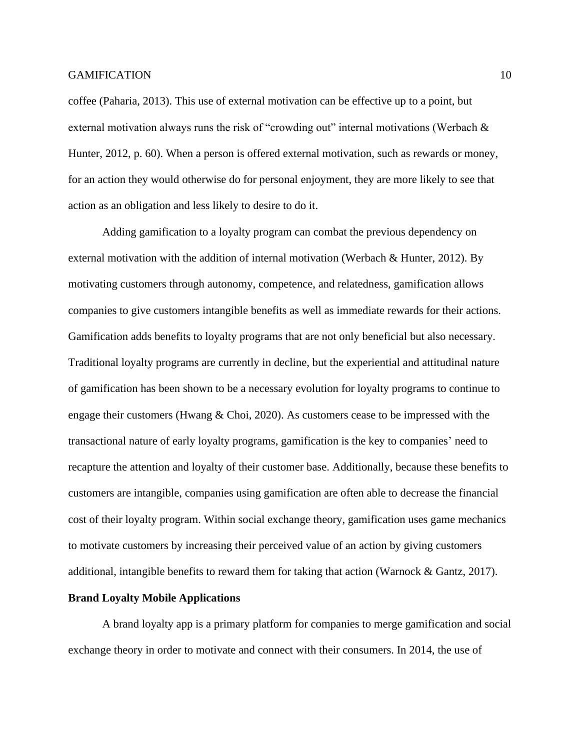coffee (Paharia, 2013). This use of external motivation can be effective up to a point, but external motivation always runs the risk of "crowding out" internal motivations (Werbach  $\&$ Hunter, 2012, p. 60). When a person is offered external motivation, such as rewards or money, for an action they would otherwise do for personal enjoyment, they are more likely to see that action as an obligation and less likely to desire to do it.

Adding gamification to a loyalty program can combat the previous dependency on external motivation with the addition of internal motivation (Werbach & Hunter, 2012). By motivating customers through autonomy, competence, and relatedness, gamification allows companies to give customers intangible benefits as well as immediate rewards for their actions. Gamification adds benefits to loyalty programs that are not only beneficial but also necessary. Traditional loyalty programs are currently in decline, but the experiential and attitudinal nature of gamification has been shown to be a necessary evolution for loyalty programs to continue to engage their customers (Hwang & Choi, 2020). As customers cease to be impressed with the transactional nature of early loyalty programs, gamification is the key to companies' need to recapture the attention and loyalty of their customer base. Additionally, because these benefits to customers are intangible, companies using gamification are often able to decrease the financial cost of their loyalty program. Within social exchange theory, gamification uses game mechanics to motivate customers by increasing their perceived value of an action by giving customers additional, intangible benefits to reward them for taking that action (Warnock & Gantz, 2017).

#### **Brand Loyalty Mobile Applications**

A brand loyalty app is a primary platform for companies to merge gamification and social exchange theory in order to motivate and connect with their consumers. In 2014, the use of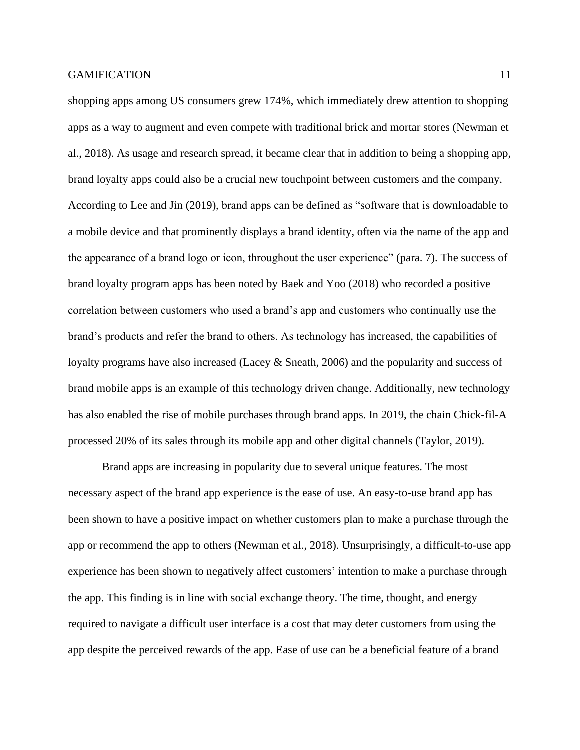shopping apps among US consumers grew 174%, which immediately drew attention to shopping apps as a way to augment and even compete with traditional brick and mortar stores (Newman et al., 2018). As usage and research spread, it became clear that in addition to being a shopping app, brand loyalty apps could also be a crucial new touchpoint between customers and the company. According to Lee and Jin (2019), brand apps can be defined as "software that is downloadable to a mobile device and that prominently displays a brand identity, often via the name of the app and the appearance of a brand logo or icon, throughout the user experience" (para. 7). The success of brand loyalty program apps has been noted by Baek and Yoo (2018) who recorded a positive correlation between customers who used a brand's app and customers who continually use the brand's products and refer the brand to others. As technology has increased, the capabilities of loyalty programs have also increased (Lacey & Sneath, 2006) and the popularity and success of brand mobile apps is an example of this technology driven change. Additionally, new technology has also enabled the rise of mobile purchases through brand apps. In 2019, the chain Chick-fil-A processed 20% of its sales through its mobile app and other digital channels (Taylor, 2019).

Brand apps are increasing in popularity due to several unique features. The most necessary aspect of the brand app experience is the ease of use. An easy-to-use brand app has been shown to have a positive impact on whether customers plan to make a purchase through the app or recommend the app to others (Newman et al., 2018). Unsurprisingly, a difficult-to-use app experience has been shown to negatively affect customers' intention to make a purchase through the app. This finding is in line with social exchange theory. The time, thought, and energy required to navigate a difficult user interface is a cost that may deter customers from using the app despite the perceived rewards of the app. Ease of use can be a beneficial feature of a brand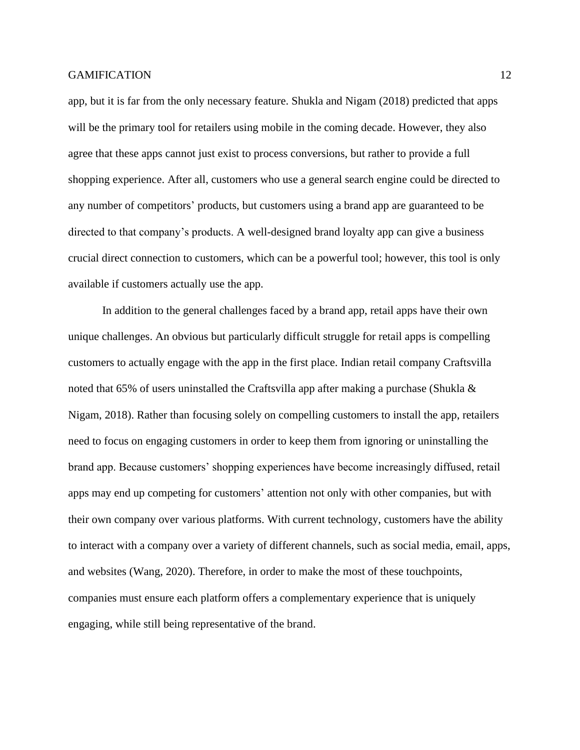app, but it is far from the only necessary feature. Shukla and Nigam (2018) predicted that apps will be the primary tool for retailers using mobile in the coming decade. However, they also agree that these apps cannot just exist to process conversions, but rather to provide a full shopping experience. After all, customers who use a general search engine could be directed to any number of competitors' products, but customers using a brand app are guaranteed to be directed to that company's products. A well-designed brand loyalty app can give a business crucial direct connection to customers, which can be a powerful tool; however, this tool is only available if customers actually use the app.

In addition to the general challenges faced by a brand app, retail apps have their own unique challenges. An obvious but particularly difficult struggle for retail apps is compelling customers to actually engage with the app in the first place. Indian retail company Craftsvilla noted that 65% of users uninstalled the Craftsvilla app after making a purchase (Shukla  $\&$ Nigam, 2018). Rather than focusing solely on compelling customers to install the app, retailers need to focus on engaging customers in order to keep them from ignoring or uninstalling the brand app. Because customers' shopping experiences have become increasingly diffused, retail apps may end up competing for customers' attention not only with other companies, but with their own company over various platforms. With current technology, customers have the ability to interact with a company over a variety of different channels, such as social media, email, apps, and websites (Wang, 2020). Therefore, in order to make the most of these touchpoints, companies must ensure each platform offers a complementary experience that is uniquely engaging, while still being representative of the brand.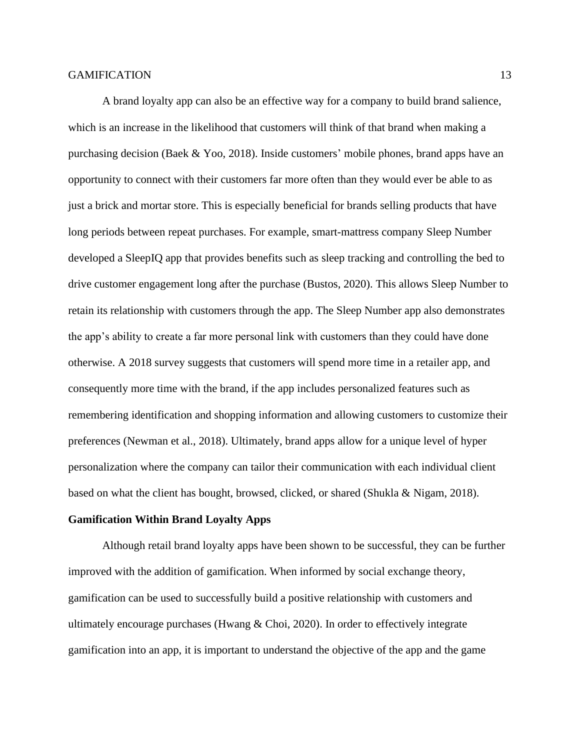A brand loyalty app can also be an effective way for a company to build brand salience, which is an increase in the likelihood that customers will think of that brand when making a purchasing decision (Baek & Yoo, 2018). Inside customers' mobile phones, brand apps have an opportunity to connect with their customers far more often than they would ever be able to as just a brick and mortar store. This is especially beneficial for brands selling products that have long periods between repeat purchases. For example, smart-mattress company Sleep Number developed a SleepIQ app that provides benefits such as sleep tracking and controlling the bed to drive customer engagement long after the purchase (Bustos, 2020). This allows Sleep Number to retain its relationship with customers through the app. The Sleep Number app also demonstrates the app's ability to create a far more personal link with customers than they could have done otherwise. A 2018 survey suggests that customers will spend more time in a retailer app, and consequently more time with the brand, if the app includes personalized features such as remembering identification and shopping information and allowing customers to customize their preferences (Newman et al., 2018). Ultimately, brand apps allow for a unique level of hyper personalization where the company can tailor their communication with each individual client based on what the client has bought, browsed, clicked, or shared (Shukla & Nigam, 2018).

### **Gamification Within Brand Loyalty Apps**

Although retail brand loyalty apps have been shown to be successful, they can be further improved with the addition of gamification. When informed by social exchange theory, gamification can be used to successfully build a positive relationship with customers and ultimately encourage purchases (Hwang & Choi, 2020). In order to effectively integrate gamification into an app, it is important to understand the objective of the app and the game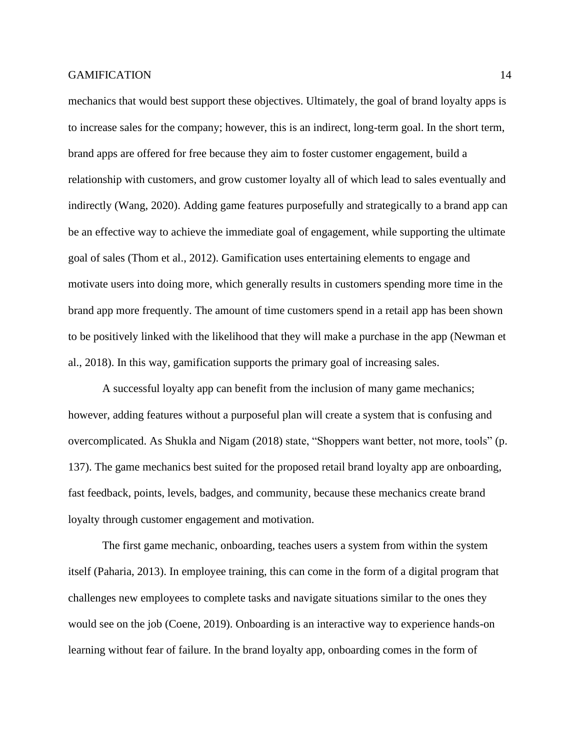mechanics that would best support these objectives. Ultimately, the goal of brand loyalty apps is to increase sales for the company; however, this is an indirect, long-term goal. In the short term, brand apps are offered for free because they aim to foster customer engagement, build a relationship with customers, and grow customer loyalty all of which lead to sales eventually and indirectly (Wang, 2020). Adding game features purposefully and strategically to a brand app can be an effective way to achieve the immediate goal of engagement, while supporting the ultimate goal of sales (Thom et al., 2012). Gamification uses entertaining elements to engage and motivate users into doing more, which generally results in customers spending more time in the brand app more frequently. The amount of time customers spend in a retail app has been shown to be positively linked with the likelihood that they will make a purchase in the app (Newman et al., 2018). In this way, gamification supports the primary goal of increasing sales.

A successful loyalty app can benefit from the inclusion of many game mechanics; however, adding features without a purposeful plan will create a system that is confusing and overcomplicated. As Shukla and Nigam (2018) state, "Shoppers want better, not more, tools" (p. 137). The game mechanics best suited for the proposed retail brand loyalty app are onboarding, fast feedback, points, levels, badges, and community, because these mechanics create brand loyalty through customer engagement and motivation.

The first game mechanic, onboarding, teaches users a system from within the system itself (Paharia, 2013). In employee training, this can come in the form of a digital program that challenges new employees to complete tasks and navigate situations similar to the ones they would see on the job (Coene, 2019). Onboarding is an interactive way to experience hands-on learning without fear of failure. In the brand loyalty app, onboarding comes in the form of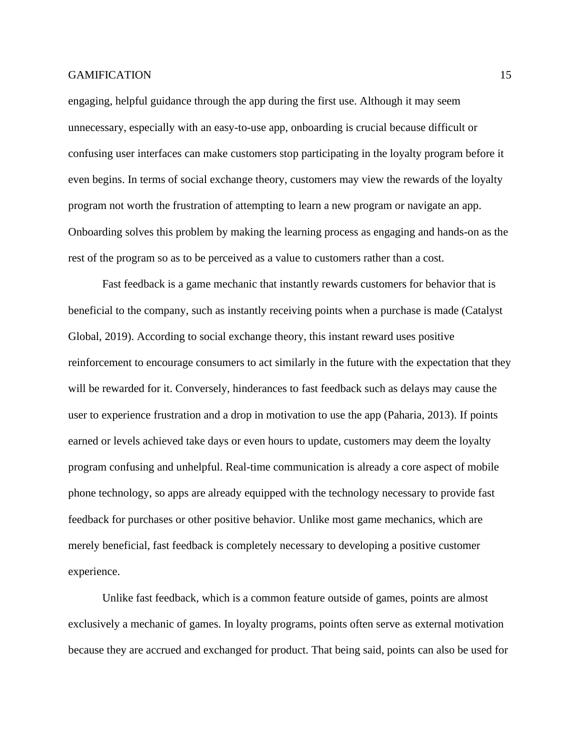engaging, helpful guidance through the app during the first use. Although it may seem unnecessary, especially with an easy-to-use app, onboarding is crucial because difficult or confusing user interfaces can make customers stop participating in the loyalty program before it even begins. In terms of social exchange theory, customers may view the rewards of the loyalty program not worth the frustration of attempting to learn a new program or navigate an app. Onboarding solves this problem by making the learning process as engaging and hands-on as the rest of the program so as to be perceived as a value to customers rather than a cost.

Fast feedback is a game mechanic that instantly rewards customers for behavior that is beneficial to the company, such as instantly receiving points when a purchase is made (Catalyst Global, 2019). According to social exchange theory, this instant reward uses positive reinforcement to encourage consumers to act similarly in the future with the expectation that they will be rewarded for it. Conversely, hinderances to fast feedback such as delays may cause the user to experience frustration and a drop in motivation to use the app (Paharia, 2013). If points earned or levels achieved take days or even hours to update, customers may deem the loyalty program confusing and unhelpful. Real-time communication is already a core aspect of mobile phone technology, so apps are already equipped with the technology necessary to provide fast feedback for purchases or other positive behavior. Unlike most game mechanics, which are merely beneficial, fast feedback is completely necessary to developing a positive customer experience.

Unlike fast feedback, which is a common feature outside of games, points are almost exclusively a mechanic of games. In loyalty programs, points often serve as external motivation because they are accrued and exchanged for product. That being said, points can also be used for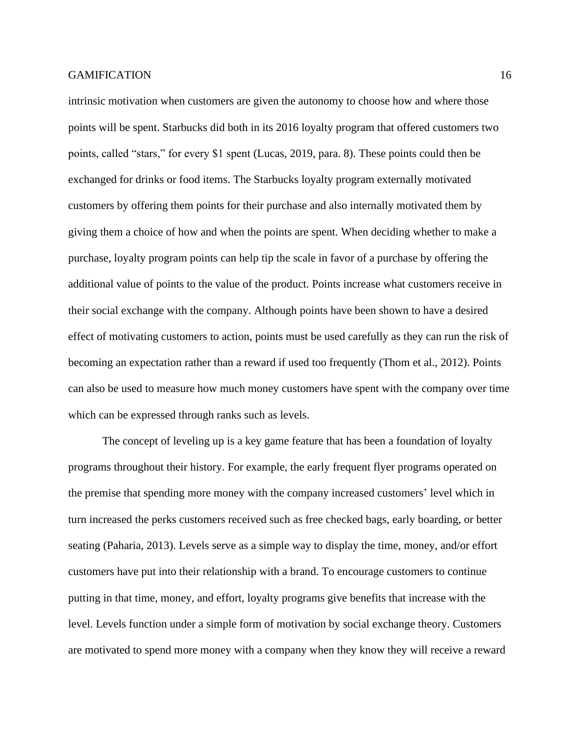intrinsic motivation when customers are given the autonomy to choose how and where those points will be spent. Starbucks did both in its 2016 loyalty program that offered customers two points, called "stars," for every \$1 spent (Lucas, 2019, para. 8). These points could then be exchanged for drinks or food items. The Starbucks loyalty program externally motivated customers by offering them points for their purchase and also internally motivated them by giving them a choice of how and when the points are spent. When deciding whether to make a purchase, loyalty program points can help tip the scale in favor of a purchase by offering the additional value of points to the value of the product. Points increase what customers receive in their social exchange with the company. Although points have been shown to have a desired effect of motivating customers to action, points must be used carefully as they can run the risk of becoming an expectation rather than a reward if used too frequently (Thom et al., 2012). Points can also be used to measure how much money customers have spent with the company over time which can be expressed through ranks such as levels.

The concept of leveling up is a key game feature that has been a foundation of loyalty programs throughout their history. For example, the early frequent flyer programs operated on the premise that spending more money with the company increased customers' level which in turn increased the perks customers received such as free checked bags, early boarding, or better seating (Paharia, 2013). Levels serve as a simple way to display the time, money, and/or effort customers have put into their relationship with a brand. To encourage customers to continue putting in that time, money, and effort, loyalty programs give benefits that increase with the level. Levels function under a simple form of motivation by social exchange theory. Customers are motivated to spend more money with a company when they know they will receive a reward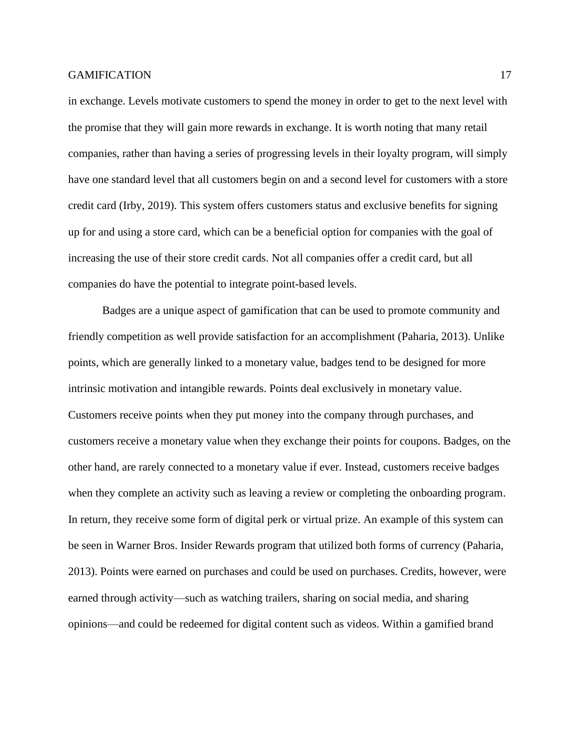in exchange. Levels motivate customers to spend the money in order to get to the next level with the promise that they will gain more rewards in exchange. It is worth noting that many retail companies, rather than having a series of progressing levels in their loyalty program, will simply have one standard level that all customers begin on and a second level for customers with a store credit card (Irby, 2019). This system offers customers status and exclusive benefits for signing up for and using a store card, which can be a beneficial option for companies with the goal of increasing the use of their store credit cards. Not all companies offer a credit card, but all companies do have the potential to integrate point-based levels.

Badges are a unique aspect of gamification that can be used to promote community and friendly competition as well provide satisfaction for an accomplishment (Paharia, 2013). Unlike points, which are generally linked to a monetary value, badges tend to be designed for more intrinsic motivation and intangible rewards. Points deal exclusively in monetary value. Customers receive points when they put money into the company through purchases, and customers receive a monetary value when they exchange their points for coupons. Badges, on the other hand, are rarely connected to a monetary value if ever. Instead, customers receive badges when they complete an activity such as leaving a review or completing the onboarding program. In return, they receive some form of digital perk or virtual prize. An example of this system can be seen in Warner Bros. Insider Rewards program that utilized both forms of currency (Paharia, 2013). Points were earned on purchases and could be used on purchases. Credits, however, were earned through activity—such as watching trailers, sharing on social media, and sharing opinions—and could be redeemed for digital content such as videos. Within a gamified brand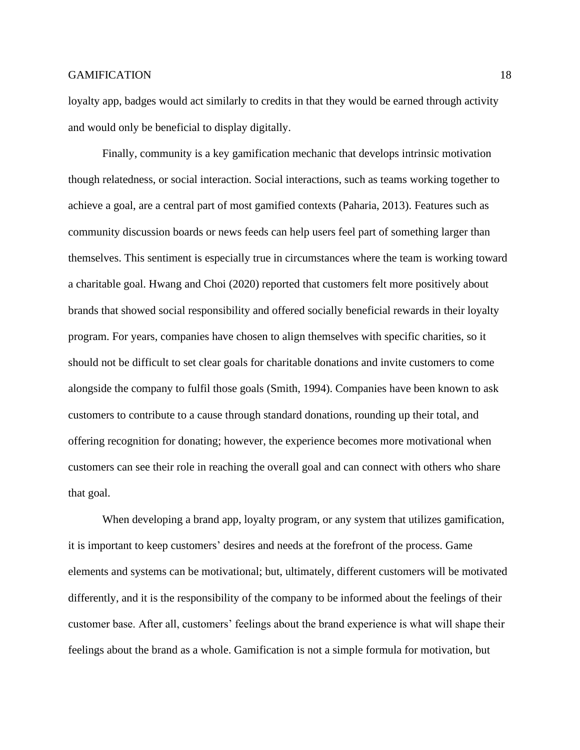loyalty app, badges would act similarly to credits in that they would be earned through activity and would only be beneficial to display digitally.

Finally, community is a key gamification mechanic that develops intrinsic motivation though relatedness, or social interaction. Social interactions, such as teams working together to achieve a goal, are a central part of most gamified contexts (Paharia, 2013). Features such as community discussion boards or news feeds can help users feel part of something larger than themselves. This sentiment is especially true in circumstances where the team is working toward a charitable goal. Hwang and Choi (2020) reported that customers felt more positively about brands that showed social responsibility and offered socially beneficial rewards in their loyalty program. For years, companies have chosen to align themselves with specific charities, so it should not be difficult to set clear goals for charitable donations and invite customers to come alongside the company to fulfil those goals (Smith, 1994). Companies have been known to ask customers to contribute to a cause through standard donations, rounding up their total, and offering recognition for donating; however, the experience becomes more motivational when customers can see their role in reaching the overall goal and can connect with others who share that goal.

When developing a brand app, loyalty program, or any system that utilizes gamification, it is important to keep customers' desires and needs at the forefront of the process. Game elements and systems can be motivational; but, ultimately, different customers will be motivated differently, and it is the responsibility of the company to be informed about the feelings of their customer base. After all, customers' feelings about the brand experience is what will shape their feelings about the brand as a whole. Gamification is not a simple formula for motivation, but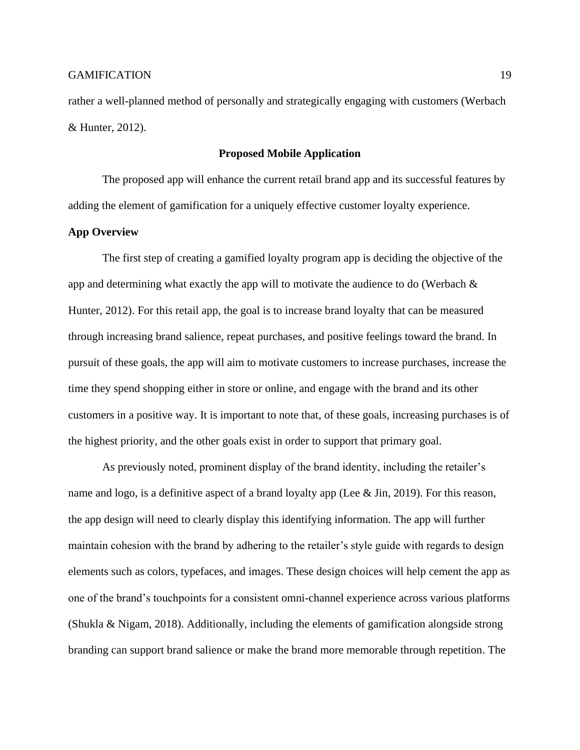rather a well-planned method of personally and strategically engaging with customers (Werbach & Hunter, 2012).

## **Proposed Mobile Application**

The proposed app will enhance the current retail brand app and its successful features by adding the element of gamification for a uniquely effective customer loyalty experience.

# **App Overview**

The first step of creating a gamified loyalty program app is deciding the objective of the app and determining what exactly the app will to motivate the audience to do (Werbach  $\&$ Hunter, 2012). For this retail app, the goal is to increase brand loyalty that can be measured through increasing brand salience, repeat purchases, and positive feelings toward the brand. In pursuit of these goals, the app will aim to motivate customers to increase purchases, increase the time they spend shopping either in store or online, and engage with the brand and its other customers in a positive way. It is important to note that, of these goals, increasing purchases is of the highest priority, and the other goals exist in order to support that primary goal.

As previously noted, prominent display of the brand identity, including the retailer's name and logo, is a definitive aspect of a brand loyalty app (Lee & Jin, 2019). For this reason, the app design will need to clearly display this identifying information. The app will further maintain cohesion with the brand by adhering to the retailer's style guide with regards to design elements such as colors, typefaces, and images. These design choices will help cement the app as one of the brand's touchpoints for a consistent omni-channel experience across various platforms (Shukla & Nigam, 2018). Additionally, including the elements of gamification alongside strong branding can support brand salience or make the brand more memorable through repetition. The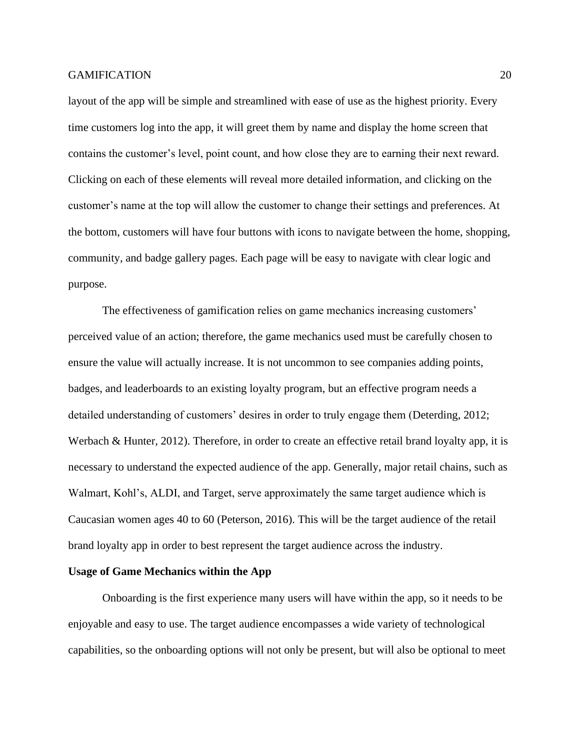layout of the app will be simple and streamlined with ease of use as the highest priority. Every time customers log into the app, it will greet them by name and display the home screen that contains the customer's level, point count, and how close they are to earning their next reward. Clicking on each of these elements will reveal more detailed information, and clicking on the customer's name at the top will allow the customer to change their settings and preferences. At the bottom, customers will have four buttons with icons to navigate between the home, shopping, community, and badge gallery pages. Each page will be easy to navigate with clear logic and purpose.

The effectiveness of gamification relies on game mechanics increasing customers' perceived value of an action; therefore, the game mechanics used must be carefully chosen to ensure the value will actually increase. It is not uncommon to see companies adding points, badges, and leaderboards to an existing loyalty program, but an effective program needs a detailed understanding of customers' desires in order to truly engage them (Deterding, 2012; Werbach & Hunter, 2012). Therefore, in order to create an effective retail brand loyalty app, it is necessary to understand the expected audience of the app. Generally, major retail chains, such as Walmart, Kohl's, ALDI, and Target, serve approximately the same target audience which is Caucasian women ages 40 to 60 (Peterson, 2016). This will be the target audience of the retail brand loyalty app in order to best represent the target audience across the industry.

#### **Usage of Game Mechanics within the App**

Onboarding is the first experience many users will have within the app, so it needs to be enjoyable and easy to use. The target audience encompasses a wide variety of technological capabilities, so the onboarding options will not only be present, but will also be optional to meet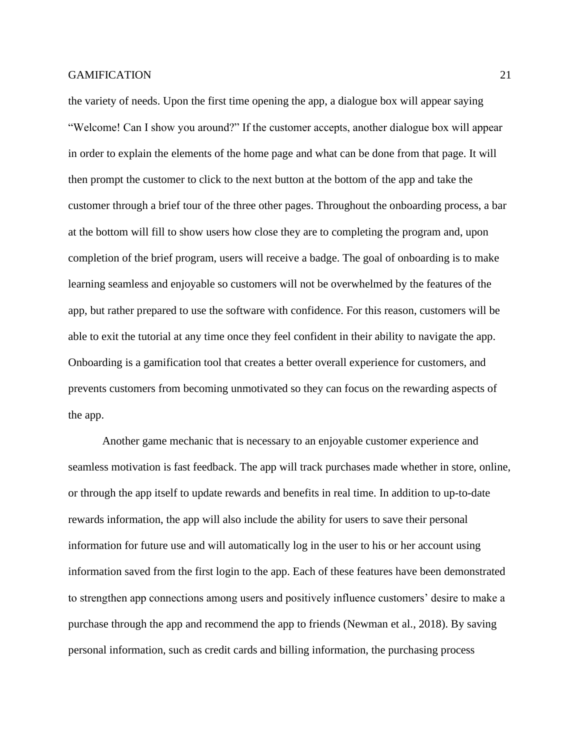the variety of needs. Upon the first time opening the app, a dialogue box will appear saying "Welcome! Can I show you around?" If the customer accepts, another dialogue box will appear in order to explain the elements of the home page and what can be done from that page. It will then prompt the customer to click to the next button at the bottom of the app and take the customer through a brief tour of the three other pages. Throughout the onboarding process, a bar at the bottom will fill to show users how close they are to completing the program and, upon completion of the brief program, users will receive a badge. The goal of onboarding is to make learning seamless and enjoyable so customers will not be overwhelmed by the features of the app, but rather prepared to use the software with confidence. For this reason, customers will be able to exit the tutorial at any time once they feel confident in their ability to navigate the app. Onboarding is a gamification tool that creates a better overall experience for customers, and prevents customers from becoming unmotivated so they can focus on the rewarding aspects of the app.

Another game mechanic that is necessary to an enjoyable customer experience and seamless motivation is fast feedback. The app will track purchases made whether in store, online, or through the app itself to update rewards and benefits in real time. In addition to up-to-date rewards information, the app will also include the ability for users to save their personal information for future use and will automatically log in the user to his or her account using information saved from the first login to the app. Each of these features have been demonstrated to strengthen app connections among users and positively influence customers' desire to make a purchase through the app and recommend the app to friends (Newman et al., 2018). By saving personal information, such as credit cards and billing information, the purchasing process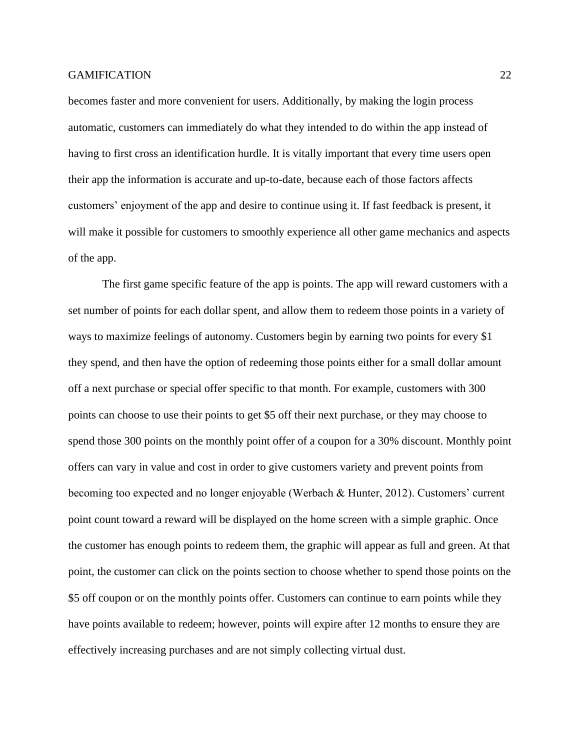becomes faster and more convenient for users. Additionally, by making the login process automatic, customers can immediately do what they intended to do within the app instead of having to first cross an identification hurdle. It is vitally important that every time users open their app the information is accurate and up-to-date, because each of those factors affects customers' enjoyment of the app and desire to continue using it. If fast feedback is present, it will make it possible for customers to smoothly experience all other game mechanics and aspects of the app.

The first game specific feature of the app is points. The app will reward customers with a set number of points for each dollar spent, and allow them to redeem those points in a variety of ways to maximize feelings of autonomy. Customers begin by earning two points for every \$1 they spend, and then have the option of redeeming those points either for a small dollar amount off a next purchase or special offer specific to that month. For example, customers with 300 points can choose to use their points to get \$5 off their next purchase, or they may choose to spend those 300 points on the monthly point offer of a coupon for a 30% discount. Monthly point offers can vary in value and cost in order to give customers variety and prevent points from becoming too expected and no longer enjoyable (Werbach & Hunter, 2012). Customers' current point count toward a reward will be displayed on the home screen with a simple graphic. Once the customer has enough points to redeem them, the graphic will appear as full and green. At that point, the customer can click on the points section to choose whether to spend those points on the \$5 off coupon or on the monthly points offer. Customers can continue to earn points while they have points available to redeem; however, points will expire after 12 months to ensure they are effectively increasing purchases and are not simply collecting virtual dust.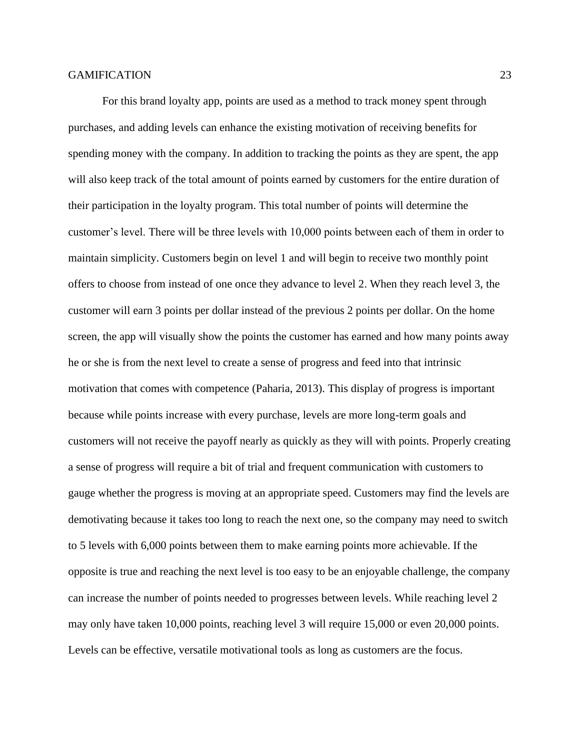For this brand loyalty app, points are used as a method to track money spent through purchases, and adding levels can enhance the existing motivation of receiving benefits for spending money with the company. In addition to tracking the points as they are spent, the app will also keep track of the total amount of points earned by customers for the entire duration of their participation in the loyalty program. This total number of points will determine the customer's level. There will be three levels with 10,000 points between each of them in order to maintain simplicity. Customers begin on level 1 and will begin to receive two monthly point offers to choose from instead of one once they advance to level 2. When they reach level 3, the customer will earn 3 points per dollar instead of the previous 2 points per dollar. On the home screen, the app will visually show the points the customer has earned and how many points away he or she is from the next level to create a sense of progress and feed into that intrinsic motivation that comes with competence (Paharia, 2013). This display of progress is important because while points increase with every purchase, levels are more long-term goals and customers will not receive the payoff nearly as quickly as they will with points. Properly creating a sense of progress will require a bit of trial and frequent communication with customers to gauge whether the progress is moving at an appropriate speed. Customers may find the levels are demotivating because it takes too long to reach the next one, so the company may need to switch to 5 levels with 6,000 points between them to make earning points more achievable. If the opposite is true and reaching the next level is too easy to be an enjoyable challenge, the company can increase the number of points needed to progresses between levels. While reaching level 2 may only have taken 10,000 points, reaching level 3 will require 15,000 or even 20,000 points. Levels can be effective, versatile motivational tools as long as customers are the focus.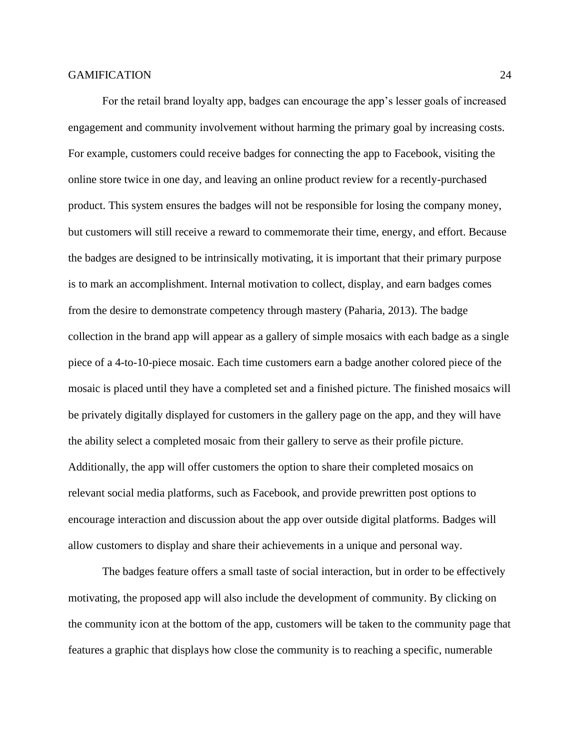For the retail brand loyalty app, badges can encourage the app's lesser goals of increased engagement and community involvement without harming the primary goal by increasing costs. For example, customers could receive badges for connecting the app to Facebook, visiting the online store twice in one day, and leaving an online product review for a recently-purchased product. This system ensures the badges will not be responsible for losing the company money, but customers will still receive a reward to commemorate their time, energy, and effort. Because the badges are designed to be intrinsically motivating, it is important that their primary purpose is to mark an accomplishment. Internal motivation to collect, display, and earn badges comes from the desire to demonstrate competency through mastery (Paharia, 2013). The badge collection in the brand app will appear as a gallery of simple mosaics with each badge as a single piece of a 4-to-10-piece mosaic. Each time customers earn a badge another colored piece of the mosaic is placed until they have a completed set and a finished picture. The finished mosaics will be privately digitally displayed for customers in the gallery page on the app, and they will have the ability select a completed mosaic from their gallery to serve as their profile picture. Additionally, the app will offer customers the option to share their completed mosaics on relevant social media platforms, such as Facebook, and provide prewritten post options to encourage interaction and discussion about the app over outside digital platforms. Badges will allow customers to display and share their achievements in a unique and personal way.

The badges feature offers a small taste of social interaction, but in order to be effectively motivating, the proposed app will also include the development of community. By clicking on the community icon at the bottom of the app, customers will be taken to the community page that features a graphic that displays how close the community is to reaching a specific, numerable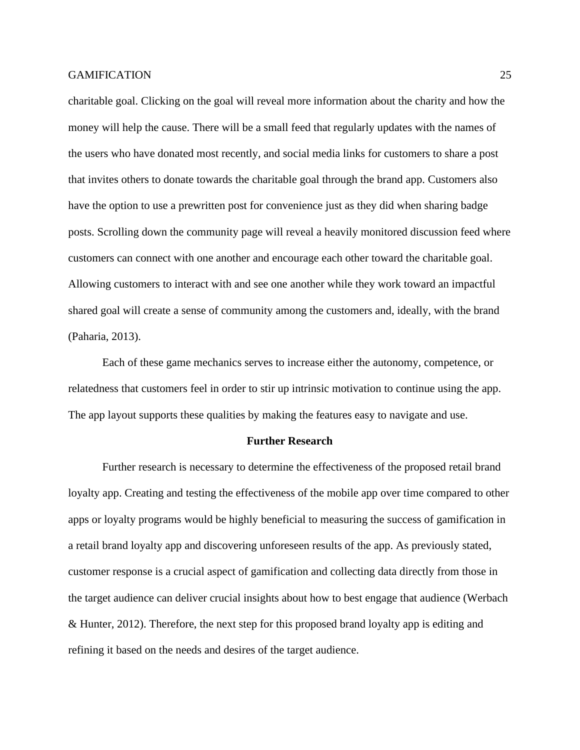charitable goal. Clicking on the goal will reveal more information about the charity and how the money will help the cause. There will be a small feed that regularly updates with the names of the users who have donated most recently, and social media links for customers to share a post that invites others to donate towards the charitable goal through the brand app. Customers also have the option to use a prewritten post for convenience just as they did when sharing badge posts. Scrolling down the community page will reveal a heavily monitored discussion feed where customers can connect with one another and encourage each other toward the charitable goal. Allowing customers to interact with and see one another while they work toward an impactful shared goal will create a sense of community among the customers and, ideally, with the brand (Paharia, 2013).

Each of these game mechanics serves to increase either the autonomy, competence, or relatedness that customers feel in order to stir up intrinsic motivation to continue using the app. The app layout supports these qualities by making the features easy to navigate and use.

#### **Further Research**

Further research is necessary to determine the effectiveness of the proposed retail brand loyalty app. Creating and testing the effectiveness of the mobile app over time compared to other apps or loyalty programs would be highly beneficial to measuring the success of gamification in a retail brand loyalty app and discovering unforeseen results of the app. As previously stated, customer response is a crucial aspect of gamification and collecting data directly from those in the target audience can deliver crucial insights about how to best engage that audience (Werbach & Hunter, 2012). Therefore, the next step for this proposed brand loyalty app is editing and refining it based on the needs and desires of the target audience.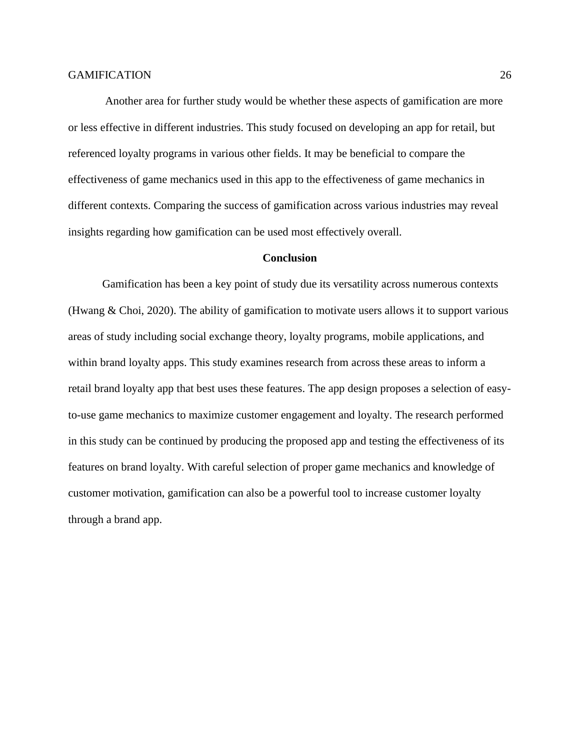Another area for further study would be whether these aspects of gamification are more or less effective in different industries. This study focused on developing an app for retail, but referenced loyalty programs in various other fields. It may be beneficial to compare the effectiveness of game mechanics used in this app to the effectiveness of game mechanics in different contexts. Comparing the success of gamification across various industries may reveal insights regarding how gamification can be used most effectively overall.

#### **Conclusion**

Gamification has been a key point of study due its versatility across numerous contexts (Hwang & Choi, 2020). The ability of gamification to motivate users allows it to support various areas of study including social exchange theory, loyalty programs, mobile applications, and within brand loyalty apps. This study examines research from across these areas to inform a retail brand loyalty app that best uses these features. The app design proposes a selection of easyto-use game mechanics to maximize customer engagement and loyalty. The research performed in this study can be continued by producing the proposed app and testing the effectiveness of its features on brand loyalty. With careful selection of proper game mechanics and knowledge of customer motivation, gamification can also be a powerful tool to increase customer loyalty through a brand app.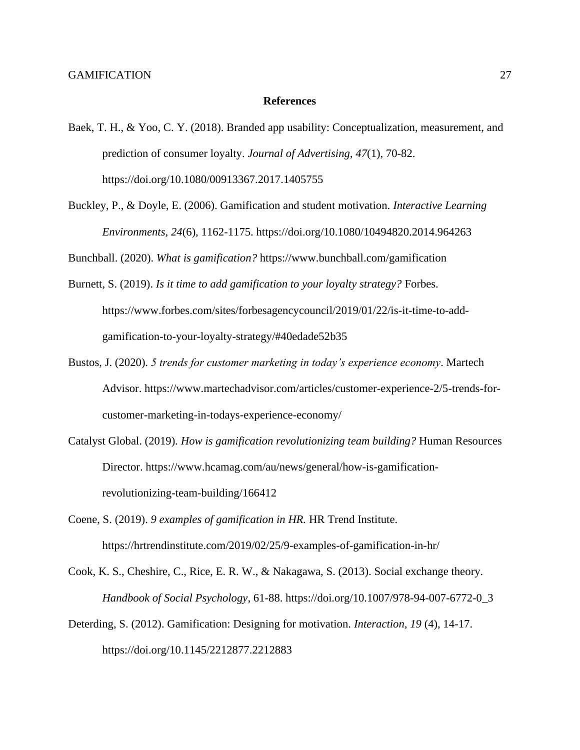#### **References**

- Baek, T. H., & Yoo, C. Y. (2018). Branded app usability: Conceptualization, measurement, and prediction of consumer loyalty. *Journal of Advertising, 47*(1), 70-82. https://doi.org/10.1080/00913367.2017.1405755
- Buckley, P., & Doyle, E. (2006). Gamification and student motivation. *Interactive Learning Environments, 24*(6), 1162-1175.<https://doi.org/10.1080/10494820.2014.964263>

Bunchball. (2020). *What is gamification?* <https://www.bunchball.com/gamification>

- Burnett, S. (2019). *Is it time to add gamification to your loyalty strategy?* Forbes. [https://www.forbes.com/sites/forbesagencycouncil/2019/01/22/is-it-time-to-add](https://www.forbes.com/sites/forbesagencycouncil/2019/01/22/is-it-time-to-add-gamification-to-your-loyalty-strategy/#40edade52b35)[gamification-to-your-loyalty-strategy/#40edade52b35](https://www.forbes.com/sites/forbesagencycouncil/2019/01/22/is-it-time-to-add-gamification-to-your-loyalty-strategy/#40edade52b35)
- Bustos, J. (2020). *5 trends for customer marketing in today's experience economy*. Martech Advisor. [https://www.martechadvisor.com/articles/customer-experience-2/5-trends-for](https://www.martechadvisor.com/articles/customer-experience-2/5-trends-for-customer-marketing-in-todays-experience-economy/)[customer-marketing-in-todays-experience-economy/](https://www.martechadvisor.com/articles/customer-experience-2/5-trends-for-customer-marketing-in-todays-experience-economy/)
- Catalyst Global. (2019). *How is gamification revolutionizing team building?* Human Resources Director. [https://www.hcamag.com/au/news/general/how-is-gamification](https://www.hcamag.com/au/news/general/how-is-gamification-)revolutionizing-team-building/166412
- Coene, S. (2019). *9 examples of gamification in HR.* HR Trend Institute. <https://hrtrendinstitute.com/2019/02/25/9-examples-of-gamification-in-hr/>
- Cook, K. S., Cheshire, C., Rice, E. R. W., & Nakagawa, S. (2013). Social exchange theory. *Handbook of Social Psychology*, 61-88. [https://doi.org/10.1007/978-94-007-6772-0\\_3](https://doi.org/10.1007/978-94-007-6772-0_3)
- Deterding, S. (2012). Gamification: Designing for motivation. *Interaction, 19* (4), 14-17. <https://doi.org/10.1145/2212877.2212883>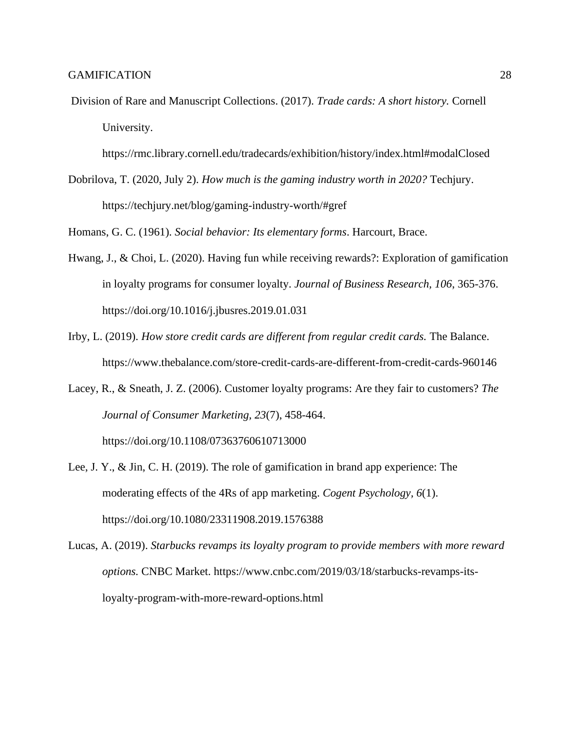[Division of Rare and Manuscript Collections.](http://rmc.library.cornell.edu/) (2017). *Trade cards: A short history.* Cornell University.

<https://rmc.library.cornell.edu/tradecards/exhibition/history/index.html#modalClosed>

Dobrilova, T. (2020, July 2). *How much is the gaming industry worth in 2020?* Techjury. <https://techjury.net/blog/gaming-industry-worth/#gref>

Homans, G. C. (1961). *Social behavior: Its elementary forms*. Harcourt, Brace.

- Hwang, J., & Choi, L. (2020). Having fun while receiving rewards?: Exploration of gamification in loyalty programs for consumer loyalty. *Journal of Business Research, 106*, 365-376. <https://doi.org/10.1016/j.jbusres.2019.01.031>
- Irby, L. (2019). *How store credit cards are different from regular credit cards.* The Balance. <https://www.thebalance.com/store-credit-cards-are-different-from-credit-cards-960146>
- Lacey, R., & Sneath, J. Z. (2006). Customer loyalty programs: Are they fair to customers? *The Journal of Consumer Marketing, 23*(7), 458-464.

<https://doi.org/10.1108/07363760610713000>

- Lee, J. Y., & Jin, C. H. (2019). The role of gamification in brand app experience: The moderating effects of the 4Rs of app marketing. *Cogent Psychology, 6*(1). [https://doi.org/10.1080/23311908.2019.1576388](https://doi.org/10.1007/978-94-007-6772-0_3)
- Lucas, A. (2019). *Starbucks revamps its loyalty program to provide members with more reward options.* CNBC Market. [https://www.cnbc.com/2019/03/18/starbucks-revamps-its](https://www.cnbc.com/2019/03/18/starbucks-revamps-its-loyalty-program-with-more-reward-options.html)[loyalty-program-with-more-reward-options.html](https://www.cnbc.com/2019/03/18/starbucks-revamps-its-loyalty-program-with-more-reward-options.html)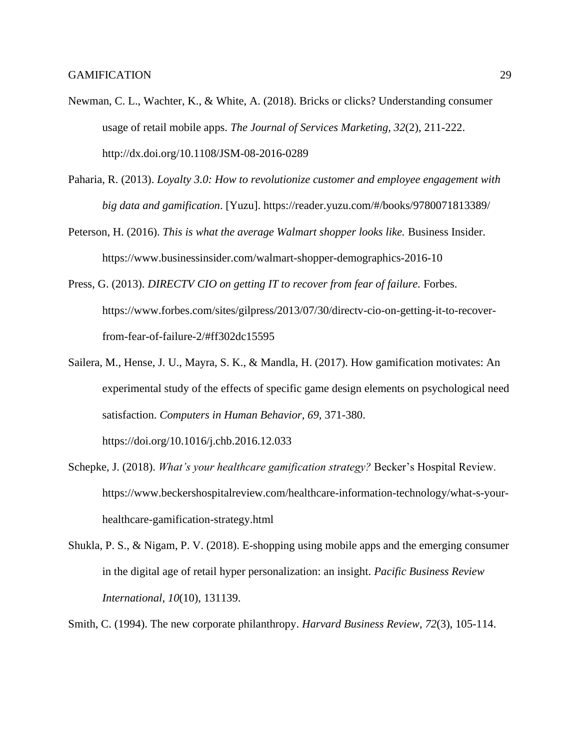- Newman, C. L., Wachter, K., & White, A. (2018). Bricks or clicks? Understanding consumer usage of retail mobile apps. *The Journal of Services Marketing, 32*(2), 211-222. <http://dx.doi.org/10.1108/JSM-08-2016-0289>
- Paharia, R. (2013). *Loyalty 3.0: How to revolutionize customer and employee engagement with big data and gamification*. [Yuzu]. <https://reader.yuzu.com/#/books/9780071813389/>
- Peterson, H. (2016). *This is what the average Walmart shopper looks like.* Business Insider. <https://www.businessinsider.com/walmart-shopper-demographics-2016-10>
- Press, G. (2013). *DIRECTV CIO on getting IT to recover from fear of failure.* Forbes. [https://www.forbes.com/sites/gilpress/2013/07/30/directv-cio-on-getting-it-to-recover](https://www.forbes.com/sites/gilpress/2013/07/30/directv-cio-on-getting-it-to-recover-from-fear-of-failure-2/#ff302dc15595)[from-fear-of-failure-2/#ff302dc15595](https://www.forbes.com/sites/gilpress/2013/07/30/directv-cio-on-getting-it-to-recover-from-fear-of-failure-2/#ff302dc15595)
- Sailera, M., Hense, J. U., Mayra, S. K., & Mandla, H. (2017). How gamification motivates: An experimental study of the effects of specific game design elements on psychological need satisfaction. *Computers in Human Behavior, 69,* 371-380.

<https://doi.org/10.1016/j.chb.2016.12.033>

- Schepke, J. (2018). *What's your healthcare gamification strategy?* Becker's Hospital Review. [https://www.beckershospitalreview.com/healthcare-information-technology/what-s-your](https://www.beckershospitalreview.com/healthcare-information-technology/what-s-your-healthcare-gamification-strategy.html)[healthcare-gamification-strategy.html](https://www.beckershospitalreview.com/healthcare-information-technology/what-s-your-healthcare-gamification-strategy.html)
- Shukla, P. S., & Nigam, P. V. (2018). E-shopping using mobile apps and the emerging consumer in the digital age of retail hyper personalization: an insight. *Pacific Business Review International*, *10*(10), 131139.
- Smith, C. (1994). The new corporate philanthropy. *Harvard Business Review*, *72*(3), 105-114.